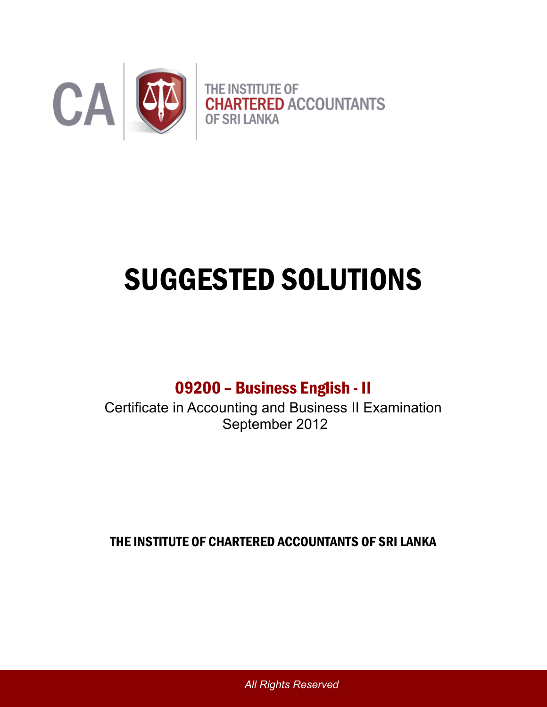

# SUGGESTED SOLUTIONS

09200 – Business English - II

Certificate in Accounting and Business II Examination September 2012

THE INSTITUTE OF CHARTERED ACCOUNTANTS OF SRI LANKA

*All Rights Reserved*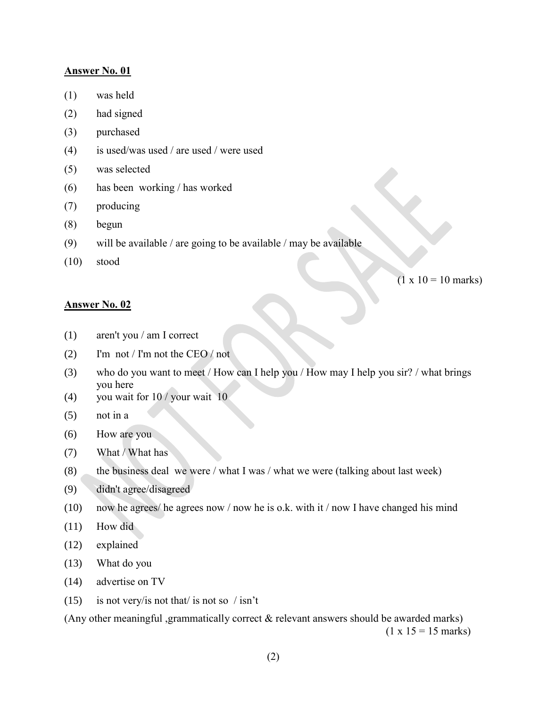- (1) was held
- (2) had signed
- (3) purchased
- (4) is used/was used / are used / were used
- (5) was selected
- (6) has been working / has worked
- (7) producing
- (8) begun
- (9) will be available / are going to be available / may be available
- (10) stood

 $(1 \times 10 = 10 \text{ marks})$ 

#### **Answer No. 02**

- (1) aren't you / am I correct
- (2) I'm not / I'm not the CEO / not
- (3) who do you want to meet / How can I help you / How may I help you sir? / what brings you here
- (4) you wait for  $10 /$  your wait 10
- (5) not in a
- (6) How are you
- (7) What / What has
- (8) the business deal we were / what I was / what we were (talking about last week)
- (9) didn't agree/disagreed
- (10) now he agrees/ he agrees now / now he is o.k. with it / now I have changed his mind
- (11) How did
- (12) explained
- (13) What do you
- (14) advertise on TV
- (15) is not very/is not that/ is not so / isn't

(Any other meaningful ,grammatically correct & relevant answers should be awarded marks)  $(1 \times 15 = 15 \text{ marks})$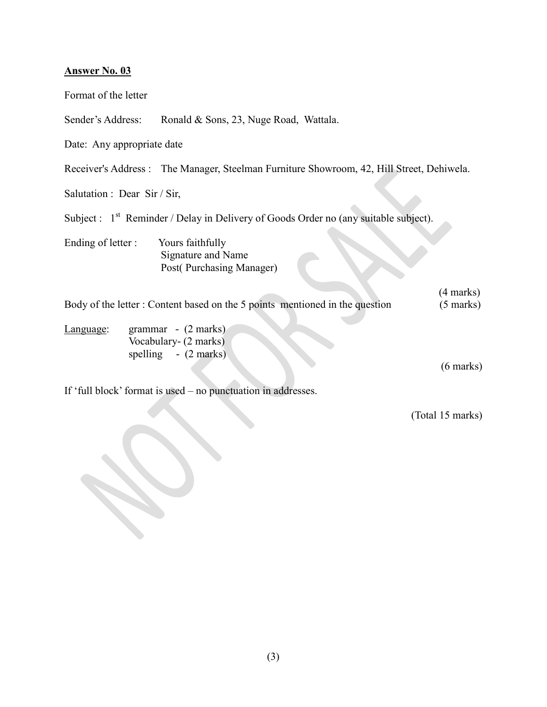| Format of the letter                                                                       |                                                                                          |  |
|--------------------------------------------------------------------------------------------|------------------------------------------------------------------------------------------|--|
| Sender's Address:                                                                          | Ronald & Sons, 23, Nuge Road, Wattala.                                                   |  |
| Date: Any appropriate date                                                                 |                                                                                          |  |
|                                                                                            | Receiver's Address: The Manager, Steelman Furniture Showroom, 42, Hill Street, Dehiwela. |  |
| Salutation : Dear Sir / Sir,                                                               |                                                                                          |  |
|                                                                                            | Subject : $1st$ Reminder / Delay in Delivery of Goods Order no (any suitable subject).   |  |
| Ending of letter :                                                                         | Yours faithfully<br>Signature and Name<br>Post(Purchasing Manager)                       |  |
| Body of the letter: Content based on the 5 points mentioned in the question                |                                                                                          |  |
| grammar - (2 marks)<br>Language:<br>Vocabulary- (2 marks)<br>spelling $-(2 \text{ marks})$ |                                                                                          |  |
|                                                                                            | If 'full block' format is used – no punctuation in addresses.                            |  |
|                                                                                            |                                                                                          |  |

(Total 15 marks)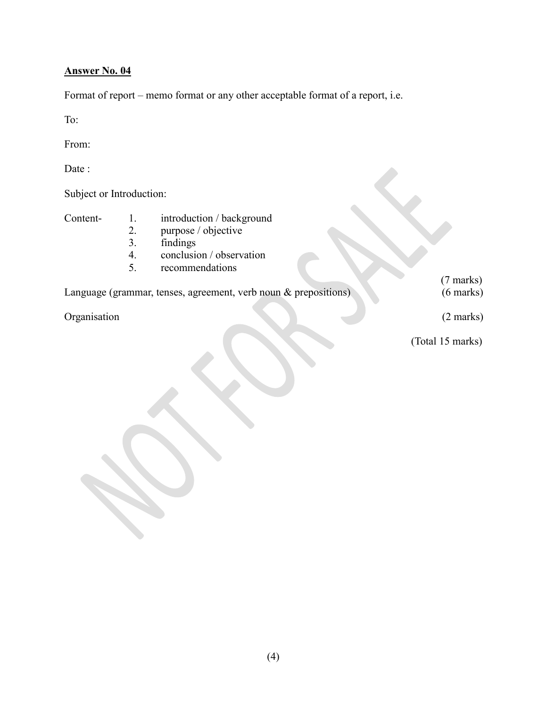Format of report – memo format or any other acceptable format of a report, i.e.

To:

From:

Date :

| Date :                                                             |                            |                                                                                                             |                     |
|--------------------------------------------------------------------|----------------------------|-------------------------------------------------------------------------------------------------------------|---------------------|
| Subject or Introduction:                                           |                            |                                                                                                             |                     |
| Content-                                                           | 1.<br>2.<br>3.<br>4.<br>5. | introduction / background<br>purpose / objective<br>findings<br>conclusion / observation<br>recommendations |                     |
|                                                                    |                            |                                                                                                             | $(7 \text{ marks})$ |
| Language (grammar, tenses, agreement, verb noun $\&$ prepositions) |                            |                                                                                                             | $(6 \text{ marks})$ |
| Organisation                                                       |                            |                                                                                                             | $(2 \text{ marks})$ |
|                                                                    |                            |                                                                                                             | (Total 15 marks)    |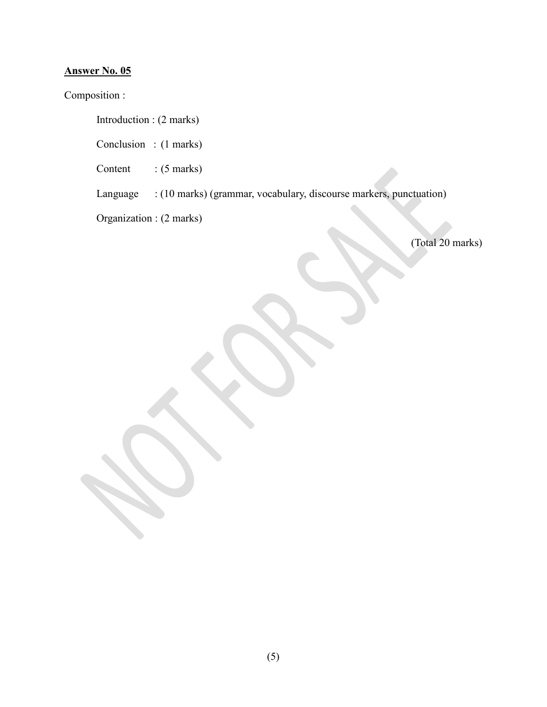Composition :

Introduction : (2 marks)

Conclusion : (1 marks)

Content : (5 marks)

Language : (10 marks) (grammar, vocabulary, discourse markers, punctuation)

Organization : (2 marks)

(Total 20 marks)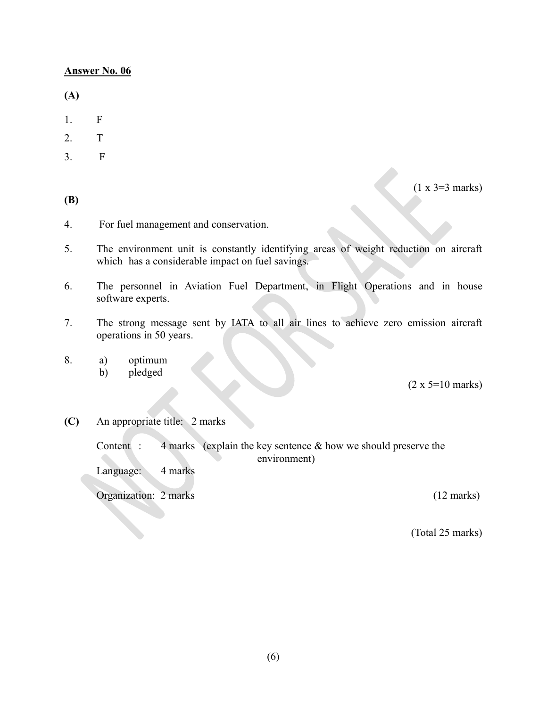**(A)**

- 1. F
- 2. T
- 3. F

**(B)**

 $(1 \times 3=3 \text{ marks})$ 

- 4. For fuel management and conservation.
- 5. The environment unit is constantly identifying areas of weight reduction on aircraft which has a considerable impact on fuel savings.
- 6. The personnel in Aviation Fuel Department, in Flight Operations and in house software experts.
- 7. The strong message sent by IATA to all air lines to achieve zero emission aircraft operations in 50 years.
- 8. a) optimum
	- b) pledged

 $(2 \times 5=10 \text{ marks})$ 

**(C)** An appropriate title: 2 marks

Content : 4 marks (explain the key sentence  $\&$  how we should preserve the environment)

Language: 4 marks

Organization: 2 marks (12 marks)

(Total 25 marks)